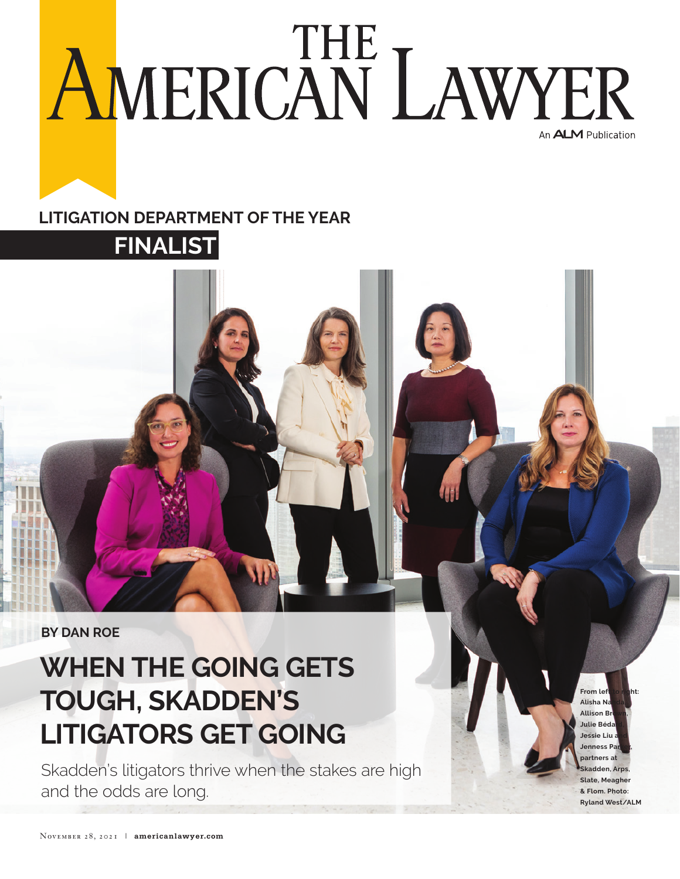## AMERICAN LAWYER An ALM Publication

## **Litigation Department of the Year**

**Finalist** 

**By Dan Roe**

## **When the Going Gets Tough, Skadden's Litigators Get Going**

Skadden's litigators thrive when the stakes are high and the odds are long.

**From left to right: Alisha N Allison B Julie Bédard, Jessie Liu and Jenness Parker, partners at Skadden, Arps, Slate, Meagher & Flom. Photo: Ryland West/ALM**